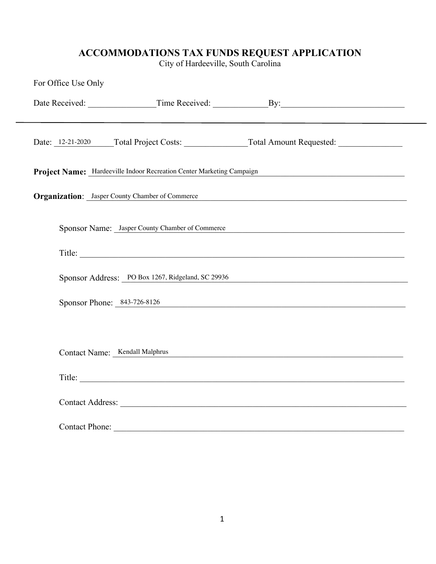## **ACCOMMODATIONS TAX FUNDS REQUEST APPLICATION**

City of Hardeeville, South Carolina

| For Office Use Only                                    |                                                                                       |  |
|--------------------------------------------------------|---------------------------------------------------------------------------------------|--|
|                                                        |                                                                                       |  |
|                                                        |                                                                                       |  |
|                                                        | Date: 12-21-2020 Total Project Costs: Total Amount Requested: Total Amount Requested: |  |
|                                                        | Project Name: Hardeeville Indoor Recreation Center Marketing Campaign                 |  |
| <b>Organization:</b> Jasper County Chamber of Commerce |                                                                                       |  |
|                                                        | Sponsor Name: Jasper County Chamber of Commerce                                       |  |
|                                                        |                                                                                       |  |
|                                                        | Sponsor Address: PO Box 1267, Ridgeland, SC 29936                                     |  |
|                                                        | Sponsor Phone: $843-726-8126$                                                         |  |
|                                                        |                                                                                       |  |
| Contact Name: Kendall Malphrus                         |                                                                                       |  |
|                                                        | Title: Executive Directc                                                              |  |
|                                                        |                                                                                       |  |
| Contact Phone:                                         |                                                                                       |  |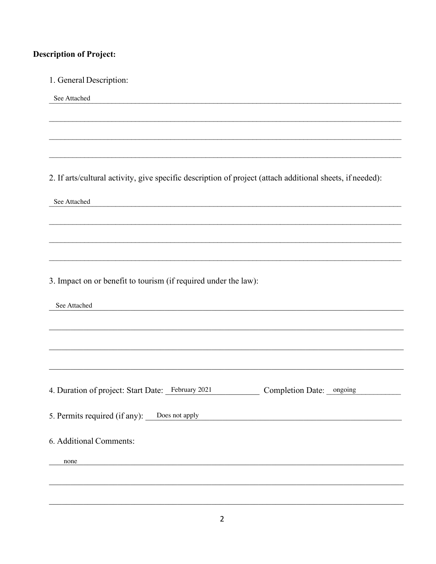# **Description of Project:**

1. General Description: See Attached 2. If arts/cultural activity, give specific description of project (attach additional sheets, if needed): See Attached 3. Impact on or benefit to tourism (if required under the law): See Attached 4. Duration of project: Start Date: February 2021 Completion Date: ongoing 5. Permits required (if any): Does not apply 6. Additional Comments: none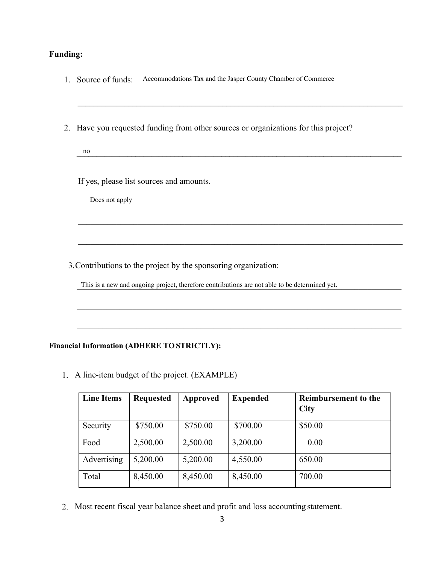# **Funding:**

| 1. Source of funds: Accommodations Tax and the Jasper County Chamber of Commerce              |  |  |  |  |
|-----------------------------------------------------------------------------------------------|--|--|--|--|
|                                                                                               |  |  |  |  |
|                                                                                               |  |  |  |  |
| 2. Have you requested funding from other sources or organizations for this project?           |  |  |  |  |
| no                                                                                            |  |  |  |  |
|                                                                                               |  |  |  |  |
| If yes, please list sources and amounts.                                                      |  |  |  |  |
| Does not apply                                                                                |  |  |  |  |
|                                                                                               |  |  |  |  |
|                                                                                               |  |  |  |  |
|                                                                                               |  |  |  |  |
| 3. Contributions to the project by the sponsoring organization:                               |  |  |  |  |
| This is a new and ongoing project, therefore contributions are not able to be determined yet. |  |  |  |  |
|                                                                                               |  |  |  |  |
|                                                                                               |  |  |  |  |

## **Financial Information (ADHERE TO STRICTLY):**

1. A line-item budget of the project. (EXAMPLE)

| <b>Line Items</b> | <b>Requested</b> | Approved | <b>Expended</b> | <b>Reimbursement to the</b><br><b>City</b> |
|-------------------|------------------|----------|-----------------|--------------------------------------------|
| Security          | \$750.00         | \$750.00 | \$700.00        | \$50.00                                    |
| Food              | 2,500.00         | 2,500.00 | 3,200.00        | 0.00                                       |
| Advertising       | 5,200.00         | 5,200.00 | 4,550.00        | 650.00                                     |
| Total             | 8,450.00         | 8,450.00 | 8,450.00        | 700.00                                     |

2. Most recent fiscal year balance sheet and profit and loss accounting statement.